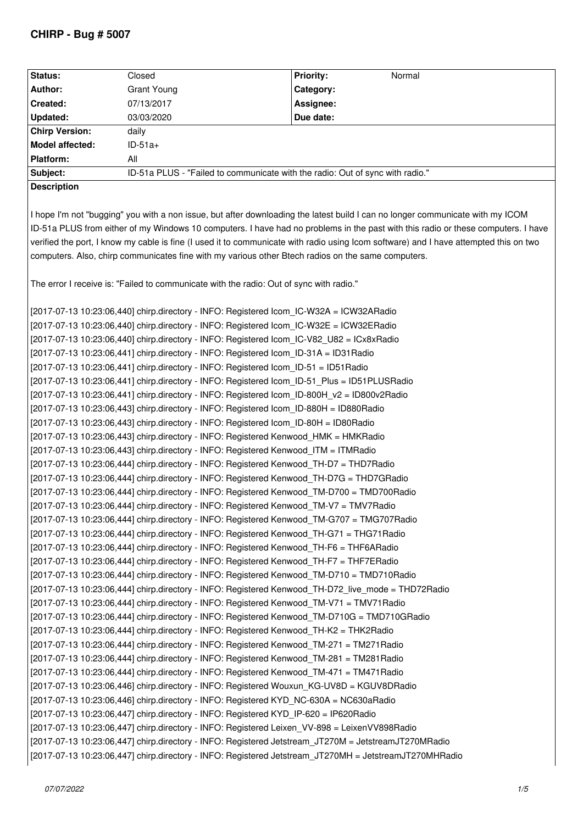# **CHIRP - Bug # 5007**

| <b>Status:</b>         | Closed                                                                        | <b>Priority:</b> | Normal |
|------------------------|-------------------------------------------------------------------------------|------------------|--------|
| Author:                | Grant Young                                                                   | Category:        |        |
| <b>Created:</b>        | 07/13/2017                                                                    | Assignee:        |        |
| <b>Updated:</b>        | 03/03/2020                                                                    | Due date:        |        |
| <b>Chirp Version:</b>  | daily                                                                         |                  |        |
| <b>Model affected:</b> | $ID-51a+$                                                                     |                  |        |
| <b>Platform:</b>       | All                                                                           |                  |        |
| Subject:               | ID-51a PLUS - "Failed to communicate with the radio: Out of sync with radio." |                  |        |
| <b>Description</b>     |                                                                               |                  |        |

*I hope I'm not "bugging" you with a non issue, but after downloading the latest build I can no longer communicate with my ICOM ID-51a PLUS from either of my Windows 10 computers. I have had no problems in the past with this radio or these computers. I have verified the port, I know my cable is fine (I used it to communicate with radio using Icom software) and I have attempted this on two computers. Also, chirp communicates fine with my various other Btech radios on the same computers.*

*The error I receive is: "Failed to communicate with the radio: Out of sync with radio."*

| [2017-07-13 10:23:06,440] chirp.directory - INFO: Registered Icom IC-W32A = ICW32ARadio                |
|--------------------------------------------------------------------------------------------------------|
| [2017-07-13 10:23:06,440] chirp.directory - INFO: Registered Icom IC-W32E = ICW32ERadio                |
| [2017-07-13 10:23:06,440] chirp.directory - INFO: Registered Icom IC-V82 U82 = ICx8xRadio              |
| [2017-07-13 10:23:06,441] chirp.directory - INFO: Registered Icom_ID-31A = ID31Radio                   |
| [2017-07-13 10:23:06,441] chirp.directory - INFO: Registered Icom ID-51 = ID51Radio                    |
| [2017-07-13 10:23:06,441] chirp.directory - INFO: Registered Icom_ID-51_Plus = ID51PLUSRadio           |
| [2017-07-13 10:23:06,441] chirp.directory - INFO: Registered Icom ID-800H v2 = ID800v2Radio            |
| [2017-07-13 10:23:06,443] chirp.directory - INFO: Registered Icom ID-880H = ID880Radio                 |
| [2017-07-13 10:23:06,443] chirp.directory - INFO: Registered Icom_ID-80H = ID80Radio                   |
| [2017-07-13 10:23:06,443] chirp.directory - INFO: Registered Kenwood HMK = HMKRadio                    |
| [2017-07-13 10:23:06,443] chirp.directory - INFO: Registered Kenwood ITM = ITMRadio                    |
| [2017-07-13 10:23:06,444] chirp.directory - INFO: Registered Kenwood TH-D7 = THD7Radio                 |
| [2017-07-13 10:23:06,444] chirp.directory - INFO: Registered Kenwood TH-D7G = THD7GRadio               |
| [2017-07-13 10:23:06,444] chirp.directory - INFO: Registered Kenwood TM-D700 = TMD700Radio             |
| [2017-07-13 10:23:06,444] chirp.directory - INFO: Registered Kenwood_TM-V7 = TMV7Radio                 |
| [2017-07-13 10:23:06,444] chirp.directory - INFO: Registered Kenwood TM-G707 = TMG707Radio             |
| [2017-07-13 10:23:06,444] chirp.directory - INFO: Registered Kenwood TH-G71 = THG71Radio               |
| [2017-07-13 10:23:06,444] chirp.directory - INFO: Registered Kenwood TH-F6 = THF6ARadio                |
| [2017-07-13 10:23:06,444] chirp.directory - INFO: Registered Kenwood TH-F7 = THF7ERadio                |
| [2017-07-13 10:23:06,444] chirp.directory - INFO: Registered Kenwood_TM-D710 = TMD710Radio             |
| [2017-07-13 10:23:06,444] chirp.directory - INFO: Registered Kenwood_TH-D72_live_mode = THD72Radio     |
| [2017-07-13 10:23:06,444] chirp.directory - INFO: Registered Kenwood TM-V71 = TMV71Radio               |
| [2017-07-13 10:23:06,444] chirp.directory - INFO: Registered Kenwood TM-D710G = TMD710GRadio           |
| [2017-07-13 10:23:06,444] chirp.directory - INFO: Registered Kenwood TH-K2 = THK2Radio                 |
| [2017-07-13 10:23:06,444] chirp.directory - INFO: Registered Kenwood TM-271 = TM271Radio               |
| [2017-07-13 10:23:06,444] chirp.directory - INFO: Registered Kenwood_TM-281 = TM281Radio               |
| [2017-07-13 10:23:06,444] chirp.directory - INFO: Registered Kenwood TM-471 = TM471Radio               |
| [2017-07-13 10:23:06,446] chirp.directory - INFO: Registered Wouxun_KG-UV8D = KGUV8DRadio              |
| [2017-07-13 10:23:06,446] chirp.directory - INFO: Registered KYD NC-630A = NC630aRadio                 |
| [2017-07-13 10:23:06,447] chirp.directory - INFO: Registered KYD IP-620 = IP620Radio                   |
| [2017-07-13 10:23:06,447] chirp.directory - INFO: Registered Leixen_VV-898 = LeixenVV898Radio          |
| [2017-07-13 10:23:06,447] chirp.directory - INFO: Registered Jetstream JT270M = JetstreamJT270MRadio   |
| [2017-07-13 10:23:06,447] chirp.directory - INFO: Registered Jetstream JT270MH = JetstreamJT270MHRadio |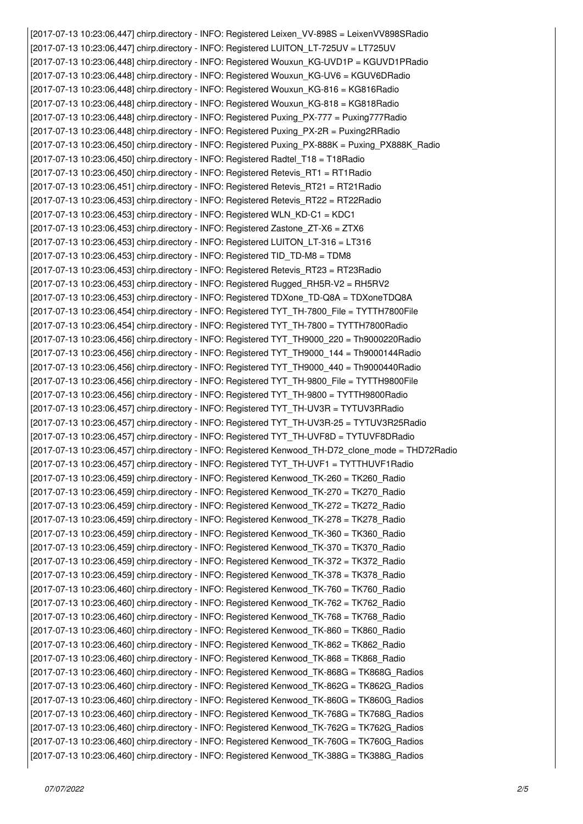*[2017-07-13 10:23:06,447] chirp.directory - INFO: Registered Leixen\_VV-898S = LeixenVV898SRadio [2017-07-13 10:23:06,447] chirp.directory - INFO: Registered LUITON\_LT-725UV = LT725UV [2017-07-13 10:23:06,448] chirp.directory - INFO: Registered Wouxun\_KG-UVD1P = KGUVD1PRadio [2017-07-13 10:23:06,448] chirp.directory - INFO: Registered Wouxun\_KG-UV6 = KGUV6DRadio [2017-07-13 10:23:06,448] chirp.directory - INFO: Registered Wouxun\_KG-816 = KG816Radio [2017-07-13 10:23:06,448] chirp.directory - INFO: Registered Wouxun\_KG-818 = KG818Radio [2017-07-13 10:23:06,448] chirp.directory - INFO: Registered Puxing\_PX-777 = Puxing777Radio [2017-07-13 10:23:06,448] chirp.directory - INFO: Registered Puxing\_PX-2R = Puxing2RRadio [2017-07-13 10:23:06,450] chirp.directory - INFO: Registered Puxing\_PX-888K = Puxing\_PX888K\_Radio [2017-07-13 10:23:06,450] chirp.directory - INFO: Registered Radtel\_T18 = T18Radio [2017-07-13 10:23:06,450] chirp.directory - INFO: Registered Retevis\_RT1 = RT1Radio [2017-07-13 10:23:06,451] chirp.directory - INFO: Registered Retevis\_RT21 = RT21Radio [2017-07-13 10:23:06,453] chirp.directory - INFO: Registered Retevis\_RT22 = RT22Radio [2017-07-13 10:23:06,453] chirp.directory - INFO: Registered WLN\_KD-C1 = KDC1 [2017-07-13 10:23:06,453] chirp.directory - INFO: Registered Zastone\_ZT-X6 = ZTX6 [2017-07-13 10:23:06,453] chirp.directory - INFO: Registered LUITON\_LT-316 = LT316 [2017-07-13 10:23:06,453] chirp.directory - INFO: Registered TID\_TD-M8 = TDM8 [2017-07-13 10:23:06,453] chirp.directory - INFO: Registered Retevis\_RT23 = RT23Radio [2017-07-13 10:23:06,453] chirp.directory - INFO: Registered Rugged\_RH5R-V2 = RH5RV2 [2017-07-13 10:23:06,453] chirp.directory - INFO: Registered TDXone\_TD-Q8A = TDXoneTDQ8A [2017-07-13 10:23:06,454] chirp.directory - INFO: Registered TYT\_TH-7800\_File = TYTTH7800File [2017-07-13 10:23:06,454] chirp.directory - INFO: Registered TYT\_TH-7800 = TYTTH7800Radio [2017-07-13 10:23:06,456] chirp.directory - INFO: Registered TYT\_TH9000\_220 = Th9000220Radio [2017-07-13 10:23:06,456] chirp.directory - INFO: Registered TYT\_TH9000\_144 = Th9000144Radio [2017-07-13 10:23:06,456] chirp.directory - INFO: Registered TYT\_TH9000\_440 = Th9000440Radio [2017-07-13 10:23:06,456] chirp.directory - INFO: Registered TYT\_TH-9800\_File = TYTTH9800File [2017-07-13 10:23:06,456] chirp.directory - INFO: Registered TYT\_TH-9800 = TYTTH9800Radio [2017-07-13 10:23:06,457] chirp.directory - INFO: Registered TYT\_TH-UV3R = TYTUV3RRadio [2017-07-13 10:23:06,457] chirp.directory - INFO: Registered TYT\_TH-UV3R-25 = TYTUV3R25Radio [2017-07-13 10:23:06,457] chirp.directory - INFO: Registered TYT\_TH-UVF8D = TYTUVF8DRadio [2017-07-13 10:23:06,457] chirp.directory - INFO: Registered Kenwood\_TH-D72\_clone\_mode = THD72Radio [2017-07-13 10:23:06,457] chirp.directory - INFO: Registered TYT\_TH-UVF1 = TYTTHUVF1Radio [2017-07-13 10:23:06,459] chirp.directory - INFO: Registered Kenwood\_TK-260 = TK260\_Radio [2017-07-13 10:23:06,459] chirp.directory - INFO: Registered Kenwood\_TK-270 = TK270\_Radio [2017-07-13 10:23:06,459] chirp.directory - INFO: Registered Kenwood\_TK-272 = TK272\_Radio [2017-07-13 10:23:06,459] chirp.directory - INFO: Registered Kenwood\_TK-278 = TK278\_Radio [2017-07-13 10:23:06,459] chirp.directory - INFO: Registered Kenwood\_TK-360 = TK360\_Radio [2017-07-13 10:23:06,459] chirp.directory - INFO: Registered Kenwood\_TK-370 = TK370\_Radio [2017-07-13 10:23:06,459] chirp.directory - INFO: Registered Kenwood\_TK-372 = TK372\_Radio [2017-07-13 10:23:06,459] chirp.directory - INFO: Registered Kenwood\_TK-378 = TK378\_Radio [2017-07-13 10:23:06,460] chirp.directory - INFO: Registered Kenwood\_TK-760 = TK760\_Radio [2017-07-13 10:23:06,460] chirp.directory - INFO: Registered Kenwood\_TK-762 = TK762\_Radio [2017-07-13 10:23:06,460] chirp.directory - INFO: Registered Kenwood\_TK-768 = TK768\_Radio [2017-07-13 10:23:06,460] chirp.directory - INFO: Registered Kenwood\_TK-860 = TK860\_Radio [2017-07-13 10:23:06,460] chirp.directory - INFO: Registered Kenwood\_TK-862 = TK862\_Radio [2017-07-13 10:23:06,460] chirp.directory - INFO: Registered Kenwood\_TK-868 = TK868\_Radio [2017-07-13 10:23:06,460] chirp.directory - INFO: Registered Kenwood\_TK-868G = TK868G\_Radios [2017-07-13 10:23:06,460] chirp.directory - INFO: Registered Kenwood\_TK-862G = TK862G\_Radios [2017-07-13 10:23:06,460] chirp.directory - INFO: Registered Kenwood\_TK-860G = TK860G\_Radios [2017-07-13 10:23:06,460] chirp.directory - INFO: Registered Kenwood\_TK-768G = TK768G\_Radios [2017-07-13 10:23:06,460] chirp.directory - INFO: Registered Kenwood\_TK-762G = TK762G\_Radios [2017-07-13 10:23:06,460] chirp.directory - INFO: Registered Kenwood\_TK-760G = TK760G\_Radios [2017-07-13 10:23:06,460] chirp.directory - INFO: Registered Kenwood\_TK-388G = TK388G\_Radios*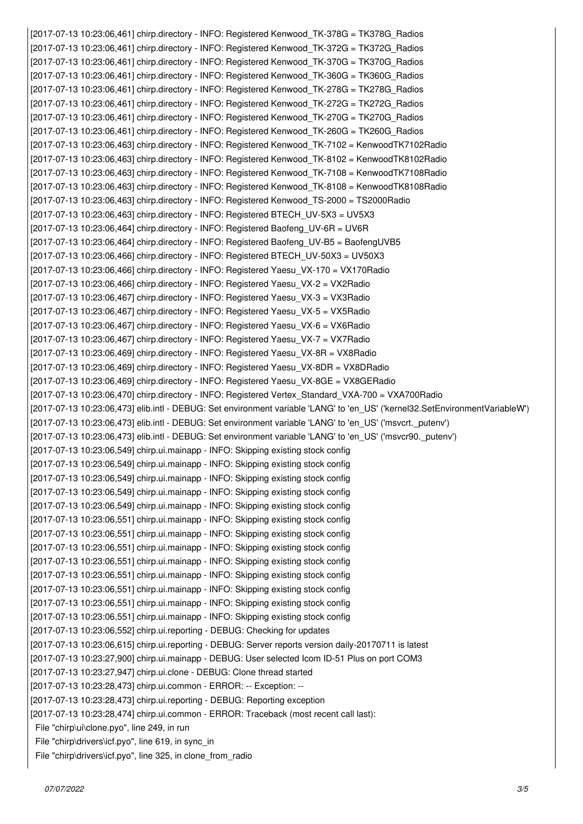*[2017-07-13 10:23:06,461] chirp.directory - INFO: Registered Kenwood\_TK-378G = TK378G\_Radios [2017-07-13 10:23:06,461] chirp.directory - INFO: Registered Kenwood\_TK-372G = TK372G\_Radios [2017-07-13 10:23:06,461] chirp.directory - INFO: Registered Kenwood\_TK-370G = TK370G\_Radios [2017-07-13 10:23:06,461] chirp.directory - INFO: Registered Kenwood\_TK-360G = TK360G\_Radios [2017-07-13 10:23:06,461] chirp.directory - INFO: Registered Kenwood\_TK-278G = TK278G\_Radios [2017-07-13 10:23:06,461] chirp.directory - INFO: Registered Kenwood\_TK-272G = TK272G\_Radios [2017-07-13 10:23:06,461] chirp.directory - INFO: Registered Kenwood\_TK-270G = TK270G\_Radios [2017-07-13 10:23:06,461] chirp.directory - INFO: Registered Kenwood\_TK-260G = TK260G\_Radios [2017-07-13 10:23:06,463] chirp.directory - INFO: Registered Kenwood\_TK-7102 = KenwoodTK7102Radio [2017-07-13 10:23:06,463] chirp.directory - INFO: Registered Kenwood\_TK-8102 = KenwoodTK8102Radio [2017-07-13 10:23:06,463] chirp.directory - INFO: Registered Kenwood\_TK-7108 = KenwoodTK7108Radio [2017-07-13 10:23:06,463] chirp.directory - INFO: Registered Kenwood\_TK-8108 = KenwoodTK8108Radio [2017-07-13 10:23:06,463] chirp.directory - INFO: Registered Kenwood\_TS-2000 = TS2000Radio [2017-07-13 10:23:06,463] chirp.directory - INFO: Registered BTECH\_UV-5X3 = UV5X3 [2017-07-13 10:23:06,464] chirp.directory - INFO: Registered Baofeng\_UV-6R = UV6R [2017-07-13 10:23:06,464] chirp.directory - INFO: Registered Baofeng\_UV-B5 = BaofengUVB5 [2017-07-13 10:23:06,466] chirp.directory - INFO: Registered BTECH\_UV-50X3 = UV50X3 [2017-07-13 10:23:06,466] chirp.directory - INFO: Registered Yaesu\_VX-170 = VX170Radio [2017-07-13 10:23:06,466] chirp.directory - INFO: Registered Yaesu\_VX-2 = VX2Radio [2017-07-13 10:23:06,467] chirp.directory - INFO: Registered Yaesu\_VX-3 = VX3Radio [2017-07-13 10:23:06,467] chirp.directory - INFO: Registered Yaesu\_VX-5 = VX5Radio [2017-07-13 10:23:06,467] chirp.directory - INFO: Registered Yaesu\_VX-6 = VX6Radio [2017-07-13 10:23:06,467] chirp.directory - INFO: Registered Yaesu\_VX-7 = VX7Radio [2017-07-13 10:23:06,469] chirp.directory - INFO: Registered Yaesu\_VX-8R = VX8Radio [2017-07-13 10:23:06,469] chirp.directory - INFO: Registered Yaesu\_VX-8DR = VX8DRadio [2017-07-13 10:23:06,469] chirp.directory - INFO: Registered Yaesu\_VX-8GE = VX8GERadio [2017-07-13 10:23:06,470] chirp.directory - INFO: Registered Vertex\_Standard\_VXA-700 = VXA700Radio [2017-07-13 10:23:06,473] elib.intl - DEBUG: Set environment variable 'LANG' to 'en\_US' ('kernel32.SetEnvironmentVariableW') [2017-07-13 10:23:06,473] elib.intl - DEBUG: Set environment variable 'LANG' to 'en\_US' ('msvcrt.\_putenv') [2017-07-13 10:23:06,473] elib.intl - DEBUG: Set environment variable 'LANG' to 'en\_US' ('msvcr90.\_putenv') [2017-07-13 10:23:06,549] chirp.ui.mainapp - INFO: Skipping existing stock config [2017-07-13 10:23:06,549] chirp.ui.mainapp - INFO: Skipping existing stock config [2017-07-13 10:23:06,549] chirp.ui.mainapp - INFO: Skipping existing stock config [2017-07-13 10:23:06,549] chirp.ui.mainapp - INFO: Skipping existing stock config [2017-07-13 10:23:06,549] chirp.ui.mainapp - INFO: Skipping existing stock config [2017-07-13 10:23:06,551] chirp.ui.mainapp - INFO: Skipping existing stock config [2017-07-13 10:23:06,551] chirp.ui.mainapp - INFO: Skipping existing stock config [2017-07-13 10:23:06,551] chirp.ui.mainapp - INFO: Skipping existing stock config [2017-07-13 10:23:06,551] chirp.ui.mainapp - INFO: Skipping existing stock config [2017-07-13 10:23:06,551] chirp.ui.mainapp - INFO: Skipping existing stock config [2017-07-13 10:23:06,551] chirp.ui.mainapp - INFO: Skipping existing stock config [2017-07-13 10:23:06,551] chirp.ui.mainapp - INFO: Skipping existing stock config [2017-07-13 10:23:06,551] chirp.ui.mainapp - INFO: Skipping existing stock config [2017-07-13 10:23:06,552] chirp.ui.reporting - DEBUG: Checking for updates [2017-07-13 10:23:06,615] chirp.ui.reporting - DEBUG: Server reports version daily-20170711 is latest [2017-07-13 10:23:27,900] chirp.ui.mainapp - DEBUG: User selected Icom ID-51 Plus on port COM3 [2017-07-13 10:23:27,947] chirp.ui.clone - DEBUG: Clone thread started [2017-07-13 10:23:28,473] chirp.ui.common - ERROR: -- Exception: -- [2017-07-13 10:23:28,473] chirp.ui.reporting - DEBUG: Reporting exception [2017-07-13 10:23:28,474] chirp.ui.common - ERROR: Traceback (most recent call last): File "chirp\ui\clone.pyo", line 249, in run File "chirp\drivers\icf.pyo", line 619, in sync\_in File "chirp\drivers\icf.pyo", line 325, in clone\_from\_radio*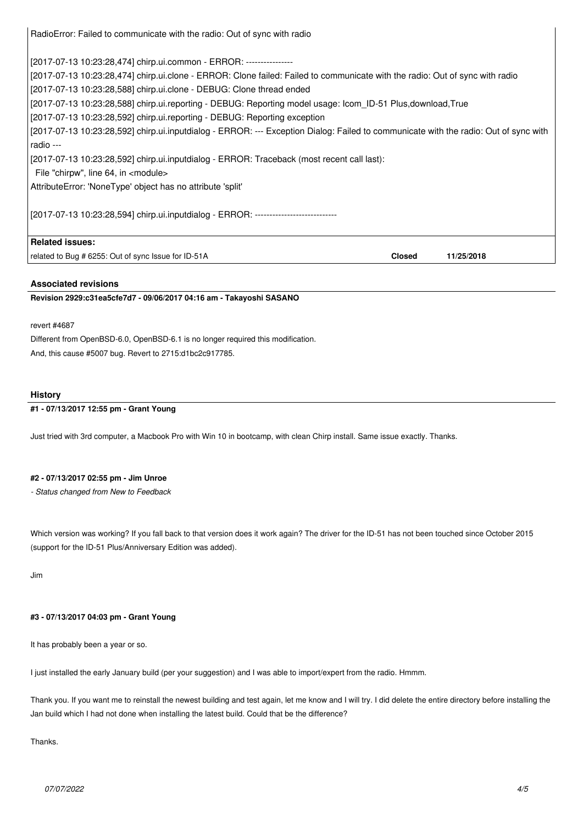*RadioError: Failed to communicate with the radio: Out of sync with radio [2017-07-13 10:23:28,474] chirp.ui.common - ERROR: ---------------- [2017-07-13 10:23:28,474] chirp.ui.clone - ERROR: Clone failed: Failed to communicate with the radio: Out of sync with radio [2017-07-13 10:23:28,588] chirp.ui.clone - DEBUG: Clone thread ended [2017-07-13 10:23:28,588] chirp.ui.reporting - DEBUG: Reporting model usage: Icom\_ID-51 Plus,download,True [2017-07-13 10:23:28,592] chirp.ui.reporting - DEBUG: Reporting exception [2017-07-13 10:23:28,592] chirp.ui.inputdialog - ERROR: --- Exception Dialog: Failed to communicate with the radio: Out of sync with radio --- [2017-07-13 10:23:28,592] chirp.ui.inputdialog - ERROR: Traceback (most recent call last): File "chirpw", line 64, in <module> AttributeError: 'NoneType' object has no attribute 'split' [2017-07-13 10:23:28,594] chirp.ui.inputdialog - ERROR: ----------------------------* **Related issues:** *related to Bug # 6255: Out of sync Issue for ID-51A* **Closed 11/25/2018**

## **Associated revisions**

## **Revision 2929:c31ea5cfe7d7 - 09/06/2017 04:16 am - Takayoshi SASANO**

## *revert #4687*

*Different from OpenBSD-6.0, OpenBSD-6.1 is no longer required this modification. And, this cause #5007 bug. Revert to 2715:d1bc2c917785.*

#### **History**

#### **#1 - 07/13/2017 12:55 pm - Grant Young**

*Just tried with 3rd computer, a Macbook Pro with Win 10 in bootcamp, with clean Chirp install. Same issue exactly. Thanks.*

## **#2 - 07/13/2017 02:55 pm - Jim Unroe**

*- Status changed from New to Feedback*

*Which version was working? If you fall back to that version does it work again? The driver for the ID-51 has not been touched since October 2015 (support for the ID-51 Plus/Anniversary Edition was added).*

*Jim*

## **#3 - 07/13/2017 04:03 pm - Grant Young**

*It has probably been a year or so.*

*I just installed the early January build (per your suggestion) and I was able to import/expert from the radio. Hmmm.*

*Thank you. If you want me to reinstall the newest building and test again, let me know and I will try. I did delete the entire directory before installing the Jan build which I had not done when installing the latest build. Could that be the difference?*

*Thanks.*